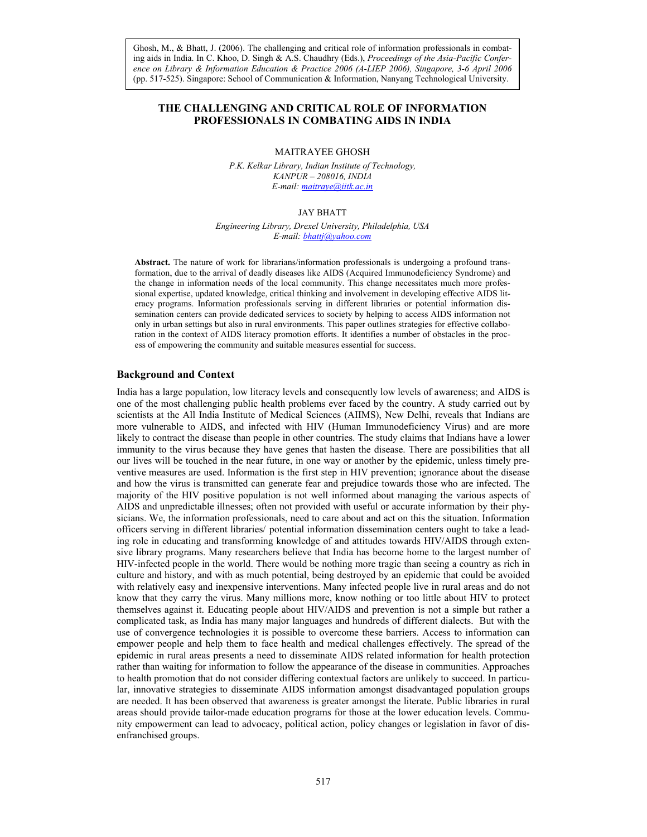*Asia-Pacific Conference on Library & Information Education & Practice, 2006 ence on Library & Information Education & Practice 2006 (A-LIEP 2006), Singapore, 3-6 April 2006* Ghosh, M., & Bhatt, J. (2006). The challenging and critical role of information professionals in combating aids in India. In C. Khoo, D. Singh & A.S. Chaudhry (Eds.), *Proceedings of the Asia-Pacific Confer-*(pp. 517-525). Singapore: School of Communication & Information, Nanyang Technological University.

# **THE CHALLENGING AND CRITICAL ROLE OF INFORMATION PROFESSIONALS IN COMBATING AIDS IN INDIA**

### MAITRAYEE GHOSH

*P.K. Kelkar Library, Indian Institute of Technology, KANPUR – 208016, INDIA E-mail: maitraye@iitk.ac.in* 

### JAY BHATT

*Engineering Library, Drexel University, Philadelphia, USA E-mail: bhattj@yahoo.com*

**Abstract.** The nature of work for librarians/information professionals is undergoing a profound transformation, due to the arrival of deadly diseases like AIDS (Acquired Immunodeficiency Syndrome) and the change in information needs of the local community. This change necessitates much more professional expertise, updated knowledge, critical thinking and involvement in developing effective AIDS literacy programs. Information professionals serving in different libraries or potential information dissemination centers can provide dedicated services to society by helping to access AIDS information not only in urban settings but also in rural environments. This paper outlines strategies for effective collaboration in the context of AIDS literacy promotion efforts. It identifies a number of obstacles in the process of empowering the community and suitable measures essential for success.

### **Background and Context**

India has a large population, low literacy levels and consequently low levels of awareness; and AIDS is one of the most challenging public health problems ever faced by the country. A study carried out by scientists at the All India Institute of Medical Sciences (AIIMS), New Delhi, reveals that Indians are more vulnerable to AIDS, and infected with HIV (Human Immunodeficiency Virus) and are more likely to contract the disease than people in other countries. The study claims that Indians have a lower immunity to the virus because they have genes that hasten the disease. There are possibilities that all our lives will be touched in the near future, in one way or another by the epidemic, unless timely preventive measures are used. Information is the first step in HIV prevention; ignorance about the disease and how the virus is transmitted can generate fear and prejudice towards those who are infected. The majority of the HIV positive population is not well informed about managing the various aspects of AIDS and unpredictable illnesses; often not provided with useful or accurate information by their physicians. We, the information professionals, need to care about and act on this the situation. Information officers serving in different libraries/ potential information dissemination centers ought to take a leading role in educating and transforming knowledge of and attitudes towards HIV/AIDS through extensive library programs. Many researchers believe that India has become home to the largest number of HIV-infected people in the world. There would be nothing more tragic than seeing a country as rich in culture and history, and with as much potential, being destroyed by an epidemic that could be avoided with relatively easy and inexpensive interventions. Many infected people live in rural areas and do not know that they carry the virus. Many millions more, know nothing or too little about HIV to protect themselves against it. Educating people about HIV/AIDS and prevention is not a simple but rather a complicated task, as India has many major languages and hundreds of different dialects. But with the use of convergence technologies it is possible to overcome these barriers. Access to information can empower people and help them to face health and medical challenges effectively. The spread of the epidemic in rural areas presents a need to disseminate AIDS related information for health protection rather than waiting for information to follow the appearance of the disease in communities. Approaches to health promotion that do not consider differing contextual factors are unlikely to succeed. In particular, innovative strategies to disseminate AIDS information amongst disadvantaged population groups are needed. It has been observed that awareness is greater amongst the literate. Public libraries in rural areas should provide tailor-made education programs for those at the lower education levels. Community empowerment can lead to advocacy, political action, policy changes or legislation in favor of disenfranchised groups.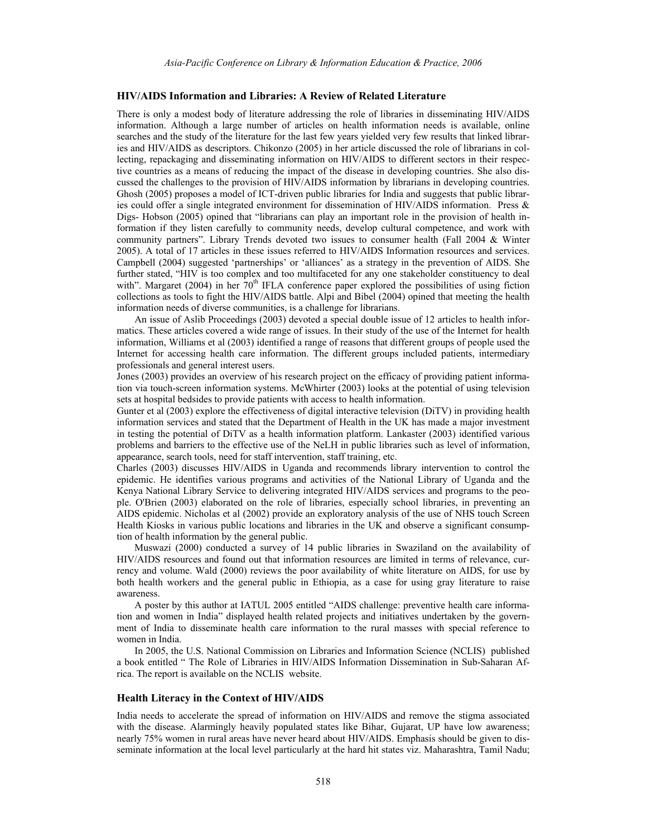#### **HIV/AIDS Information and Libraries: A Review of Related Literature**

There is only a modest body of literature addressing the role of libraries in disseminating HIV/AIDS information. Although a large number of articles on health information needs is available, online searches and the study of the literature for the last few years yielded very few results that linked libraries and HIV/AIDS as descriptors. Chikonzo (2005) in her article discussed the role of librarians in collecting, repackaging and disseminating information on HIV/AIDS to different sectors in their respective countries as a means of reducing the impact of the disease in developing countries. She also discussed the challenges to the provision of HIV/AIDS information by librarians in developing countries. Ghosh (2005) proposes a model of ICT-driven public libraries for India and suggests that public libraries could offer a single integrated environment for dissemination of HIV/AIDS information. Press & Digs- Hobson (2005) opined that "librarians can play an important role in the provision of health information if they listen carefully to community needs, develop cultural competence, and work with community partners". Library Trends devoted two issues to consumer health (Fall 2004 & Winter 2005). A total of 17 articles in these issues referred to HIV/AIDS Information resources and services. Campbell (2004) suggested 'partnerships' or 'alliances' as a strategy in the prevention of AIDS. She further stated, "HIV is too complex and too multifaceted for any one stakeholder constituency to deal with". Margaret (2004) in her  $70<sup>th</sup>$  IFLA conference paper explored the possibilities of using fiction collections as tools to fight the HIV/AIDS battle. Alpi and Bibel (2004) opined that meeting the health information needs of diverse communities, is a challenge for librarians.

An issue of Aslib Proceedings (2003) devoted a special double issue of 12 articles to health informatics. These articles covered a wide range of issues. In their study of the use of the Internet for health information, Williams et al (2003) identified a range of reasons that different groups of people used the Internet for accessing health care information. The different groups included patients, intermediary professionals and general interest users.

Jones (2003) provides an overview of his research project on the efficacy of providing patient information via touch-screen information systems. McWhirter (2003) looks at the potential of using television sets at hospital bedsides to provide patients with access to health information.

Gunter et al (2003) explore the effectiveness of digital interactive television (DiTV) in providing health information services and stated that the Department of Health in the UK has made a major investment in testing the potential of DiTV as a health information platform. Lankaster (2003) identified various problems and barriers to the effective use of the NeLH in public libraries such as level of information, appearance, search tools, need for staff intervention, staff training, etc.

Charles (2003) discusses HIV/AIDS in Uganda and recommends library intervention to control the epidemic. He identifies various programs and activities of the National Library of Uganda and the Kenya National Library Service to delivering integrated HIV/AIDS services and programs to the people. O'Brien (2003) elaborated on the role of libraries, especially school libraries, in preventing an AIDS epidemic. Nicholas et al (2002) provide an exploratory analysis of the use of NHS touch Screen Health Kiosks in various public locations and libraries in the UK and observe a significant consumption of health information by the general public.

Muswazi (2000) conducted a survey of 14 public libraries in Swaziland on the availability of HIV/AIDS resources and found out that information resources are limited in terms of relevance, currency and volume. Wald (2000) reviews the poor availability of white literature on AIDS, for use by both health workers and the general public in Ethiopia, as a case for using gray literature to raise awareness.

A poster by this author at IATUL 2005 entitled "AIDS challenge: preventive health care information and women in India" displayed health related projects and initiatives undertaken by the government of India to disseminate health care information to the rural masses with special reference to women in India.

In 2005, the U.S. National Commission on Libraries and Information Science (NCLIS) published a book entitled " The Role of Libraries in HIV/AIDS Information Dissemination in Sub-Saharan Africa. The report is available on the NCLIS website.

### **Health Literacy in the Context of HIV/AIDS**

India needs to accelerate the spread of information on HIV/AIDS and remove the stigma associated with the disease. Alarmingly heavily populated states like Bihar, Gujarat, UP have low awareness; nearly 75% women in rural areas have never heard about HIV/AIDS. Emphasis should be given to disseminate information at the local level particularly at the hard hit states viz. Maharashtra, Tamil Nadu;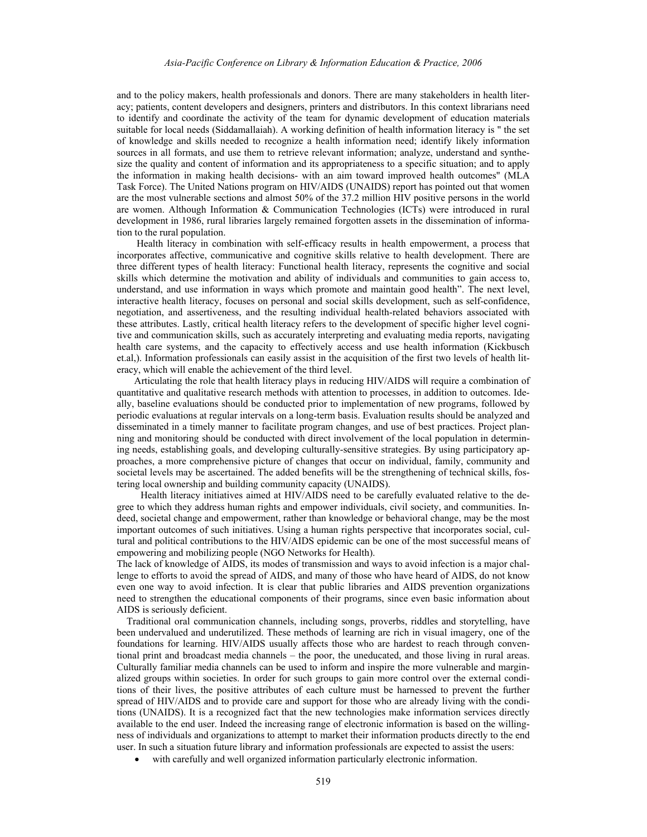and to the policy makers, health professionals and donors. There are many stakeholders in health literacy; patients, content developers and designers, printers and distributors. In this context librarians need to identify and coordinate the activity of the team for dynamic development of education materials suitable for local needs (Siddamallaiah). A working definition of health information literacy is " the set of knowledge and skills needed to recognize a health information need; identify likely information sources in all formats, and use them to retrieve relevant information; analyze, understand and synthesize the quality and content of information and its appropriateness to a specific situation; and to apply the information in making health decisions- with an aim toward improved health outcomes" (MLA Task Force). The United Nations program on HIV/AIDS (UNAIDS) report has pointed out that women are the most vulnerable sections and almost 50% of the 37.2 million HIV positive persons in the world are women. Although Information & Communication Technologies (ICTs) were introduced in rural development in 1986, rural libraries largely remained forgotten assets in the dissemination of information to the rural population.

 Health literacy in combination with self-efficacy results in health empowerment, a process that incorporates affective, communicative and cognitive skills relative to health development. There are three different types of health literacy: Functional health literacy, represents the cognitive and social skills which determine the motivation and ability of individuals and communities to gain access to, understand, and use information in ways which promote and maintain good health". The next level, interactive health literacy, focuses on personal and social skills development, such as self-confidence, negotiation, and assertiveness, and the resulting individual health-related behaviors associated with these attributes. Lastly, critical health literacy refers to the development of specific higher level cognitive and communication skills, such as accurately interpreting and evaluating media reports, navigating health care systems, and the capacity to effectively access and use health information (Kickbusch et.al,). Information professionals can easily assist in the acquisition of the first two levels of health literacy, which will enable the achievement of the third level.

 Articulating the role that health literacy plays in reducing HIV/AIDS will require a combination of quantitative and qualitative research methods with attention to processes, in addition to outcomes. Ideally, baseline evaluations should be conducted prior to implementation of new programs, followed by periodic evaluations at regular intervals on a long-term basis. Evaluation results should be analyzed and disseminated in a timely manner to facilitate program changes, and use of best practices. Project planning and monitoring should be conducted with direct involvement of the local population in determining needs, establishing goals, and developing culturally-sensitive strategies. By using participatory approaches, a more comprehensive picture of changes that occur on individual, family, community and societal levels may be ascertained. The added benefits will be the strengthening of technical skills, fostering local ownership and building community capacity (UNAIDS).

 Health literacy initiatives aimed at HIV/AIDS need to be carefully evaluated relative to the degree to which they address human rights and empower individuals, civil society, and communities. Indeed, societal change and empowerment, rather than knowledge or behavioral change, may be the most important outcomes of such initiatives. Using a human rights perspective that incorporates social, cultural and political contributions to the HIV/AIDS epidemic can be one of the most successful means of empowering and mobilizing people (NGO Networks for Health).

The lack of knowledge of AIDS, its modes of transmission and ways to avoid infection is a major challenge to efforts to avoid the spread of AIDS, and many of those who have heard of AIDS, do not know even one way to avoid infection. It is clear that public libraries and AIDS prevention organizations need to strengthen the educational components of their programs, since even basic information about AIDS is seriously deficient.

 Traditional oral communication channels, including songs, proverbs, riddles and storytelling, have been undervalued and underutilized. These methods of learning are rich in visual imagery, one of the foundations for learning. HIV/AIDS usually affects those who are hardest to reach through conventional print and broadcast media channels – the poor, the uneducated, and those living in rural areas. Culturally familiar media channels can be used to inform and inspire the more vulnerable and marginalized groups within societies. In order for such groups to gain more control over the external conditions of their lives, the positive attributes of each culture must be harnessed to prevent the further spread of HIV/AIDS and to provide care and support for those who are already living with the conditions (UNAIDS). It is a recognized fact that the new technologies make information services directly available to the end user. Indeed the increasing range of electronic information is based on the willingness of individuals and organizations to attempt to market their information products directly to the end user. In such a situation future library and information professionals are expected to assist the users:

• with carefully and well organized information particularly electronic information.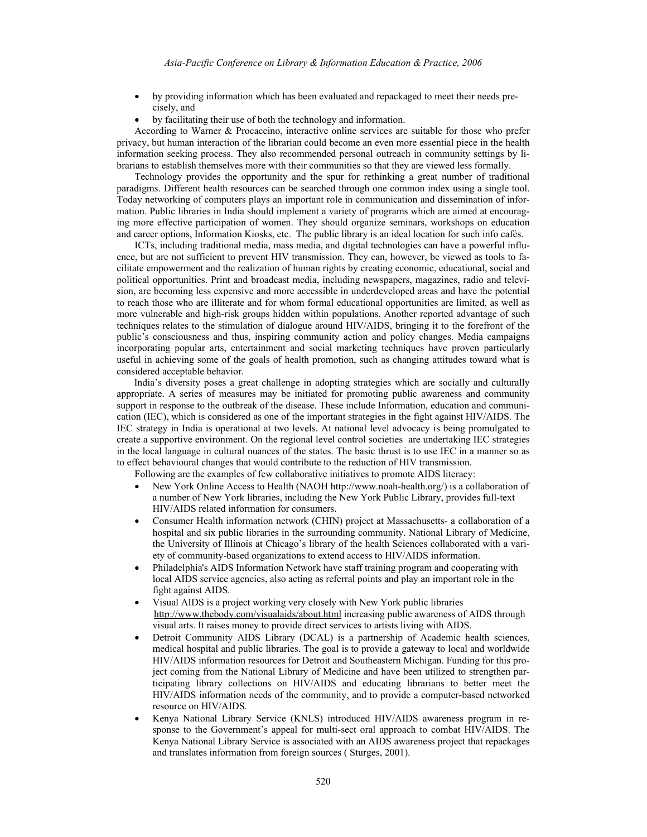- by providing information which has been evaluated and repackaged to meet their needs precisely, and
- by facilitating their use of both the technology and information.

According to Warner & Procaccino, interactive online services are suitable for those who prefer privacy, but human interaction of the librarian could become an even more essential piece in the health information seeking process. They also recommended personal outreach in community settings by librarians to establish themselves more with their communities so that they are viewed less formally.

Technology provides the opportunity and the spur for rethinking a great number of traditional paradigms. Different health resources can be searched through one common index using a single tool. Today networking of computers plays an important role in communication and dissemination of information. Public libraries in India should implement a variety of programs which are aimed at encouraging more effective participation of women. They should organize seminars, workshops on education and career options, Information Kiosks, etc. The public library is an ideal location for such info cafés.

ICTs, including traditional media, mass media, and digital technologies can have a powerful influence, but are not sufficient to prevent HIV transmission. They can, however, be viewed as tools to facilitate empowerment and the realization of human rights by creating economic, educational, social and political opportunities. Print and broadcast media, including newspapers, magazines, radio and television, are becoming less expensive and more accessible in underdeveloped areas and have the potential to reach those who are illiterate and for whom formal educational opportunities are limited, as well as more vulnerable and high-risk groups hidden within populations. Another reported advantage of such techniques relates to the stimulation of dialogue around HIV/AIDS, bringing it to the forefront of the public's consciousness and thus, inspiring community action and policy changes. Media campaigns incorporating popular arts, entertainment and social marketing techniques have proven particularly useful in achieving some of the goals of health promotion, such as changing attitudes toward what is considered acceptable behavior.

 India's diversity poses a great challenge in adopting strategies which are socially and culturally appropriate. A series of measures may be initiated for promoting public awareness and community support in response to the outbreak of the disease. These include Information, education and communication (IEC), which is considered as one of the important strategies in the fight against HIV/AIDS. The IEC strategy in India is operational at two levels. At national level advocacy is being promulgated to create a supportive environment. On the regional level control societies are undertaking IEC strategies in the local language in cultural nuances of the states. The basic thrust is to use IEC in a manner so as to effect behavioural changes that would contribute to the reduction of HIV transmission.

Following are the examples of few collaborative initiatives to promote AIDS literacy:

- New York Online Access to Health (NAOH http://www.noah-health.org/) is a collaboration of a number of New York libraries, including the New York Public Library, provides full-text HIV/AIDS related information for consumers.
- Consumer Health information network (CHIN) project at Massachusetts- a collaboration of a hospital and six public libraries in the surrounding community. National Library of Medicine, the University of Illinois at Chicago's library of the health Sciences collaborated with a variety of community-based organizations to extend access to HIV/AIDS information.
- Philadelphia's AIDS Information Network have staff training program and cooperating with local AIDS service agencies, also acting as referral points and play an important role in the fight against AIDS.
- Visual AIDS is a project working very closely with New York public libraries http://www.thebody.com/visualaids/about.html increasing public awareness of AIDS through visual arts. It raises money to provide direct services to artists living with AIDS.
- Detroit Community AIDS Library (DCAL) is a partnership of Academic health sciences, medical hospital and public libraries. The goal is to provide a gateway to local and worldwide HIV/AIDS information resources for Detroit and Southeastern Michigan. Funding for this project coming from the National Library of Medicine and have been utilized to strengthen participating library collections on HIV/AIDS and educating librarians to better meet the HIV/AIDS information needs of the community, and to provide a computer-based networked resource on HIV/AIDS.
- Kenya National Library Service (KNLS) introduced HIV/AIDS awareness program in response to the Government's appeal for multi-sect oral approach to combat HIV/AIDS. The Kenya National Library Service is associated with an AIDS awareness project that repackages and translates information from foreign sources ( Sturges, 2001).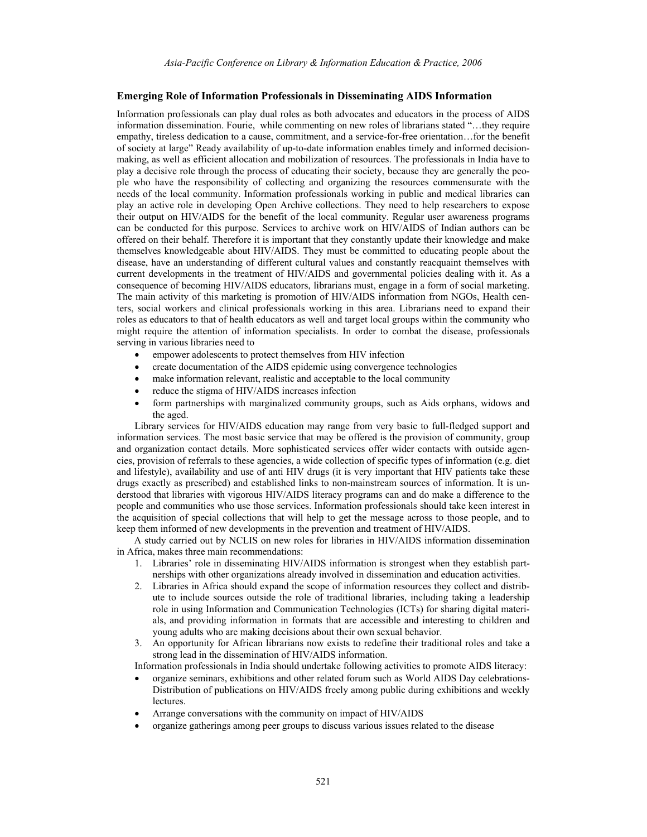### **Emerging Role of Information Professionals in Disseminating AIDS Information**

Information professionals can play dual roles as both advocates and educators in the process of AIDS information dissemination. Fourie, while commenting on new roles of librarians stated "…they require empathy, tireless dedication to a cause, commitment, and a service-for-free orientation…for the benefit of society at large" Ready availability of up-to-date information enables timely and informed decisionmaking, as well as efficient allocation and mobilization of resources. The professionals in India have to play a decisive role through the process of educating their society, because they are generally the people who have the responsibility of collecting and organizing the resources commensurate with the needs of the local community. Information professionals working in public and medical libraries can play an active role in developing Open Archive collections. They need to help researchers to expose their output on HIV/AIDS for the benefit of the local community. Regular user awareness programs can be conducted for this purpose. Services to archive work on HIV/AIDS of Indian authors can be offered on their behalf. Therefore it is important that they constantly update their knowledge and make themselves knowledgeable about HIV/AIDS. They must be committed to educating people about the disease, have an understanding of different cultural values and constantly reacquaint themselves with current developments in the treatment of HIV/AIDS and governmental policies dealing with it. As a consequence of becoming HIV/AIDS educators, librarians must, engage in a form of social marketing. The main activity of this marketing is promotion of HIV/AIDS information from NGOs, Health centers, social workers and clinical professionals working in this area. Librarians need to expand their roles as educators to that of health educators as well and target local groups within the community who might require the attention of information specialists. In order to combat the disease, professionals serving in various libraries need to

- empower adolescents to protect themselves from HIV infection
- create documentation of the AIDS epidemic using convergence technologies
- make information relevant, realistic and acceptable to the local community
- reduce the stigma of HIV/AIDS increases infection
- form partnerships with marginalized community groups, such as Aids orphans, widows and the aged.

Library services for HIV/AIDS education may range from very basic to full-fledged support and information services. The most basic service that may be offered is the provision of community, group and organization contact details. More sophisticated services offer wider contacts with outside agencies, provision of referrals to these agencies, a wide collection of specific types of information (e.g. diet and lifestyle), availability and use of anti HIV drugs (it is very important that HIV patients take these drugs exactly as prescribed) and established links to non-mainstream sources of information. It is understood that libraries with vigorous HIV/AIDS literacy programs can and do make a difference to the people and communities who use those services. Information professionals should take keen interest in the acquisition of special collections that will help to get the message across to those people, and to keep them informed of new developments in the prevention and treatment of HIV/AIDS.

 A study carried out by NCLIS on new roles for libraries in HIV/AIDS information dissemination in Africa, makes three main recommendations:

- 1. Libraries' role in disseminating HIV/AIDS information is strongest when they establish partnerships with other organizations already involved in dissemination and education activities.
- 2. Libraries in Africa should expand the scope of information resources they collect and distribute to include sources outside the role of traditional libraries, including taking a leadership role in using Information and Communication Technologies (ICTs) for sharing digital materials, and providing information in formats that are accessible and interesting to children and young adults who are making decisions about their own sexual behavior.
- 3. An opportunity for African librarians now exists to redefine their traditional roles and take a strong lead in the dissemination of HIV/AIDS information.

Information professionals in India should undertake following activities to promote AIDS literacy:

- organize seminars, exhibitions and other related forum such as World AIDS Day celebrations-Distribution of publications on HIV/AIDS freely among public during exhibitions and weekly lectures.
- Arrange conversations with the community on impact of HIV/AIDS
- organize gatherings among peer groups to discuss various issues related to the disease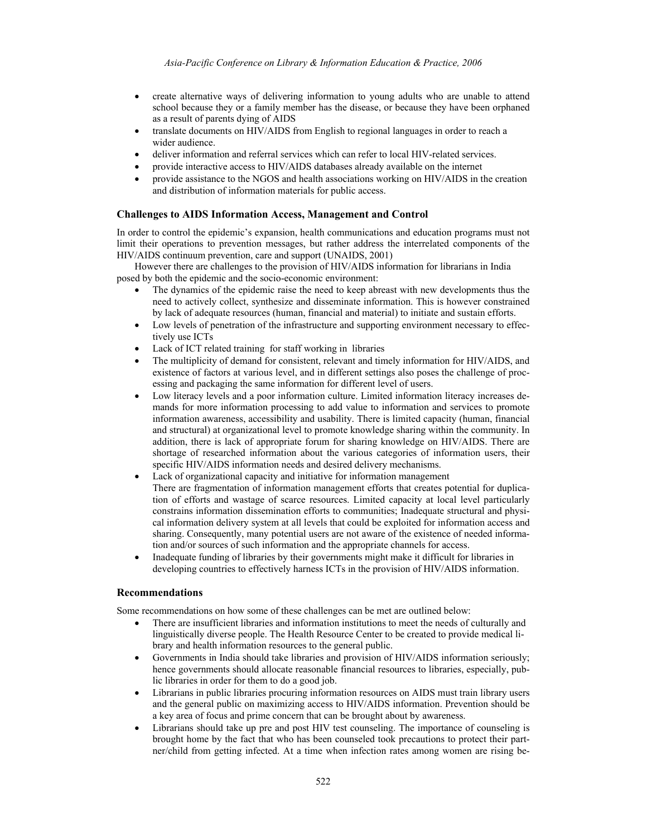- create alternative ways of delivering information to young adults who are unable to attend school because they or a family member has the disease, or because they have been orphaned as a result of parents dying of AIDS
- translate documents on HIV/AIDS from English to regional languages in order to reach a wider audience.
- deliver information and referral services which can refer to local HIV-related services.
- provide interactive access to HIV/AIDS databases already available on the internet
- provide assistance to the NGOS and health associations working on HIV/AIDS in the creation and distribution of information materials for public access.

## **Challenges to AIDS Information Access, Management and Control**

In order to control the epidemic's expansion, health communications and education programs must not limit their operations to prevention messages, but rather address the interrelated components of the HIV/AIDS continuum prevention, care and support (UNAIDS, 2001)

However there are challenges to the provision of HIV/AIDS information for librarians in India posed by both the epidemic and the socio-economic environment:

- The dynamics of the epidemic raise the need to keep abreast with new developments thus the need to actively collect, synthesize and disseminate information. This is however constrained by lack of adequate resources (human, financial and material) to initiate and sustain efforts.
- Low levels of penetration of the infrastructure and supporting environment necessary to effectively use ICTs
- Lack of ICT related training for staff working in libraries
- The multiplicity of demand for consistent, relevant and timely information for HIV/AIDS, and existence of factors at various level, and in different settings also poses the challenge of processing and packaging the same information for different level of users.
- Low literacy levels and a poor information culture. Limited information literacy increases demands for more information processing to add value to information and services to promote information awareness, accessibility and usability. There is limited capacity (human, financial and structural) at organizational level to promote knowledge sharing within the community. In addition, there is lack of appropriate forum for sharing knowledge on HIV/AIDS. There are shortage of researched information about the various categories of information users, their specific HIV/AIDS information needs and desired delivery mechanisms.
- Lack of organizational capacity and initiative for information management There are fragmentation of information management efforts that creates potential for duplication of efforts and wastage of scarce resources. Limited capacity at local level particularly constrains information dissemination efforts to communities; Inadequate structural and physical information delivery system at all levels that could be exploited for information access and sharing. Consequently, many potential users are not aware of the existence of needed information and/or sources of such information and the appropriate channels for access.
- Inadequate funding of libraries by their governments might make it difficult for libraries in developing countries to effectively harness ICTs in the provision of HIV/AIDS information.

#### **Recommendations**

Some recommendations on how some of these challenges can be met are outlined below:

- There are insufficient libraries and information institutions to meet the needs of culturally and linguistically diverse people. The Health Resource Center to be created to provide medical library and health information resources to the general public.
- Governments in India should take libraries and provision of HIV/AIDS information seriously; hence governments should allocate reasonable financial resources to libraries, especially, public libraries in order for them to do a good job.
- Librarians in public libraries procuring information resources on AIDS must train library users and the general public on maximizing access to HIV/AIDS information. Prevention should be a key area of focus and prime concern that can be brought about by awareness.
- Librarians should take up pre and post HIV test counseling. The importance of counseling is brought home by the fact that who has been counseled took precautions to protect their partner/child from getting infected. At a time when infection rates among women are rising be-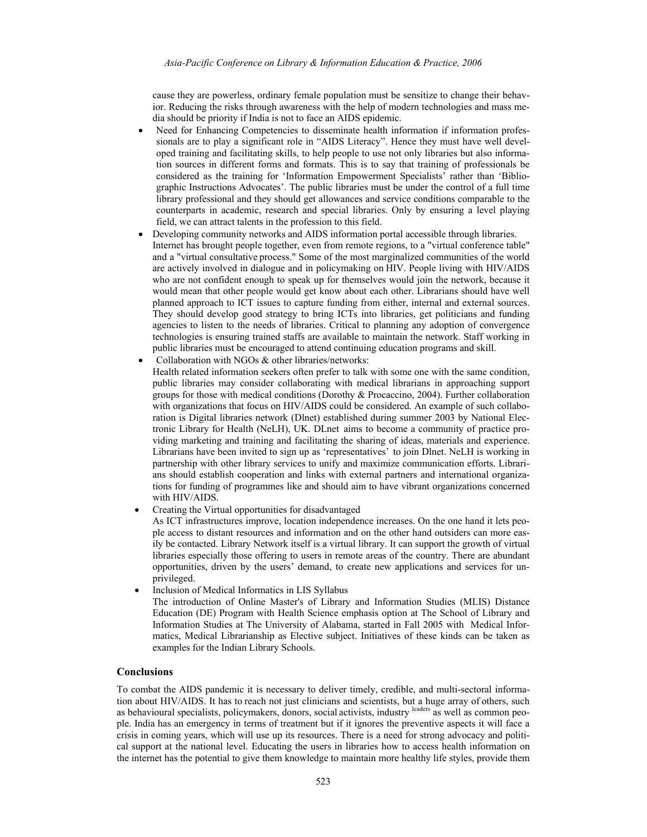cause they are powerless, ordinary female population must be sensitize to change their behavior. Reducing the risks through awareness with the help of modern technologies and mass media should be priority if India is not to face an AIDS epidemic.

- Need for Enhancing Competencies to disseminate health information if information professionals are to play a significant role in "AIDS Literacy". Hence they must have well developed training and facilitating skills, to help people to use not only libraries but also information sources in different forms and formats. This is to say that training of professionals be considered as the training for 'Information Empowerment Specialists' rather than 'Bibliographic Instructions Advocates'. The public libraries must be under the control of a full time library professional and they should get allowances and service conditions comparable to the counterparts in academic, research and special libraries. Only by ensuring a level playing field, we can attract talents in the profession to this field.
- Developing community networks and AIDS information portal accessible through libraries. Internet has brought people together, even from remote regions, to a "virtual conference table" and a "virtual consultative process." Some of the most marginalized communities of the world are actively involved in dialogue and in policymaking on HIV. People living with HIV/AIDS who are not confident enough to speak up for themselves would join the network, because it would mean that other people would get know about each other. Librarians should have well planned approach to ICT issues to capture funding from either, internal and external sources. They should develop good strategy to bring ICTs into libraries, get politicians and funding agencies to listen to the needs of libraries. Critical to planning any adoption of convergence technologies is ensuring trained staffs are available to maintain the network. Staff working in public libraries must be encouraged to attend continuing education programs and skill.
- Collaboration with NGOs & other libraries/networks: Health related information seekers often prefer to talk with some one with the same condition, public libraries may consider collaborating with medical librarians in approaching support groups for those with medical conditions (Dorothy & Procaccino, 2004). Further collaboration with organizations that focus on HIV/AIDS could be considered. An example of such collaboration is Digital libraries network (Dlnet) established during summer 2003 by National Electronic Library for Health (NeLH), UK. DLnet aims to become a community of practice providing marketing and training and facilitating the sharing of ideas, materials and experience. Librarians have been invited to sign up as 'representatives' to join Dlnet. NeLH is working in partnership with other library services to unify and maximize communication efforts. Librarians should establish cooperation and links with external partners and international organizations for funding of programmes like and should aim to have vibrant organizations concerned with HIV/AIDS.
- Creating the Virtual opportunities for disadvantaged

As ICT infrastructures improve, location independence increases. On the one hand it lets people access to distant resources and information and on the other hand outsiders can more easily be contacted. Library Network itself is a virtual library. It can support the growth of virtual libraries especially those offering to users in remote areas of the country. There are abundant opportunities, driven by the users' demand, to create new applications and services for unprivileged.

• Inclusion of Medical Informatics in LIS Syllabus

The introduction of Online Master's of Library and Information Studies (MLIS) Distance Education (DE) Program with Health Science emphasis option at The School of Library and Information Studies at The University of Alabama, started in Fall 2005 with Medical Informatics, Medical Librarianship as Elective subject. Initiatives of these kinds can be taken as examples for the Indian Library Schools.

## **Conclusions**

To combat the AIDS pandemic it is necessary to deliver timely, credible, and multi-sectoral information about HIV/AIDS. It has to reach not just clinicians and scientists, but a huge array of others, such as behavioural specialists, policymakers, donors, social activists, industry leaders as well as common people. India has an emergency in terms of treatment but if it ignores the preventive aspects it will face a crisis in coming years, which will use up its resources. There is a need for strong advocacy and political support at the national level. Educating the users in libraries how to access health information on the internet has the potential to give them knowledge to maintain more healthy life styles, provide them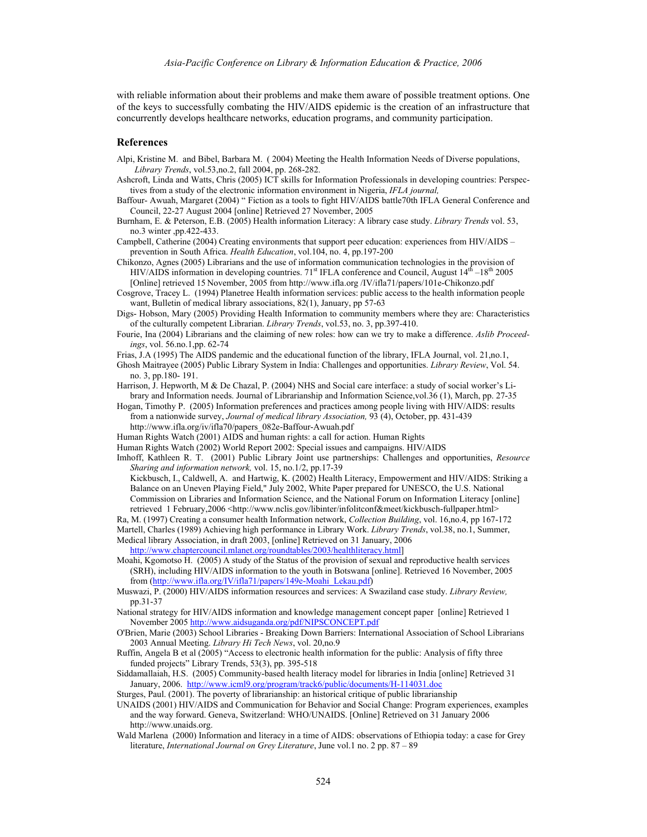with reliable information about their problems and make them aware of possible treatment options. One of the keys to successfully combating the HIV/AIDS epidemic is the creation of an infrastructure that concurrently develops healthcare networks, education programs, and community participation.

#### **References**

- Alpi, Kristine M. and Bibel, Barbara M. ( 2004) Meeting the Health Information Needs of Diverse populations, *Library Trends*, vol.53,no.2, fall 2004, pp. 268-282.
- Ashcroft, Linda and Watts, Chris (2005) ICT skills for Information Professionals in developing countries: Perspectives from a study of the electronic information environment in Nigeria, *IFLA journal,*
- Baffour- Awuah, Margaret (2004) " Fiction as a tools to fight HIV/AIDS battle70th IFLA General Conference and Council, 22-27 August 2004 [online] Retrieved 27 November, 2005
- Burnham, E. & Peterson, E.B. (2005) Health information Literacy: A library case study. *Library Trends* vol. 53, no.3 winter ,pp.422-433.
- Campbell, Catherine (2004) Creating environments that support peer education: experiences from HIV/AIDS prevention in South Africa. *Health Education*, vol.104, no. 4, pp.197-200
- Chikonzo, Agnes (2005) Librarians and the use of information communication technologies in the provision of HIV/AIDS information in developing countries.  $71^{\text{st}}$  IFLA conference and Council, August  $14^{\text{th}} - 18^{\text{th}}$  2005 [Online] retrieved 15 November, 2005 from http://www.ifla.org /IV/ifla71/papers/101e-Chikonzo.pdf
- Cosgrove, Tracey L. (1994) Planetree Health information services: public access to the health information people want, Bulletin of medical library associations, 82(1), January, pp 57-63
- Digs- Hobson, Mary (2005) Providing Health Information to community members where they are: Characteristics of the culturally competent Librarian. *Library Trends*, vol.53, no. 3, pp.397-410.
- Fourie, Ina (2004) Librarians and the claiming of new roles: how can we try to make a difference. *Aslib Proceedings*, vol. 56.no.1,pp. 62-74
- Frias, J.A (1995) The AIDS pandemic and the educational function of the library, IFLA Journal, vol. 21,no.1,
- Ghosh Maitrayee (2005) Public Library System in India: Challenges and opportunities. *Library Review*, Vol. 54. no. 3, pp.180- 191.
- Harrison, J. Hepworth, M & De Chazal, P. (2004) NHS and Social care interface: a study of social worker's Library and Information needs. Journal of Librarianship and Information Science,vol.36 (1), March, pp. 27-35
- Hogan, Timothy P. (2005) Information preferences and practices among people living with HIV/AIDS: results from a nationwide survey, *Journal of medical library Association,* 93 (4), October, pp. 431-439
	- http://www.ifla.org/iv/ifla70/papers\_082e-Baffour-Awuah.pdf
- Human Rights Watch (2001) AIDS and human rights: a call for action. Human Rights
- Human Rights Watch (2002) World Report 2002: Special issues and campaigns. HIV/AIDS
- Imhoff, Kathleen R. T. (2001) Public Library Joint use partnerships: Challenges and opportunities, *Resource Sharing and information network,* vol. 15, no.1/2, pp.17-39
- Kickbusch, I., Caldwell, A. and Hartwig, K. (2002) Health Literacy, Empowerment and HIV/AIDS: Striking a Balance on an Uneven Playing Field," July 2002, White Paper prepared for UNESCO, the U.S. National Commission on Libraries and Information Science, and the National Forum on Information Literacy [online] retrieved 1 February, 2006 <http://www.nclis.gov/libinter/infolitconf&meet/kickbusch-fullpaper.html>
- Ra, M. (1997) Creating a consumer health Information network, *Collection Building*, vol. 16,no.4, pp 167-172
- Martell, Charles (1989) Achieving high performance in Library Work. *Library Trends*, vol.38, no.1, Summer, Medical library Association, in draft 2003, [online] Retrieved on 31 January, 2006
- http://www.chaptercouncil.mlanet.org/roundtables/2003/healthliteracy.html]
- Moahi, Kgomotso H. (2005) A study of the Status of the provision of sexual and reproductive health services (SRH), including HIV/AIDS information to the youth in Botswana [online]. Retrieved 16 November, 2005 from (http://www.ifla.org/IV/ifla71/papers/149e-Moahi\_Lekau.pdf)
- Muswazi, P. (2000) HIV/AIDS information resources and services: A Swaziland case study. *Library Review,*  pp.31-37
- National strategy for HIV/AIDS information and knowledge management concept paper [online] Retrieved 1 November 2005 http://www.aidsuganda.org/pdf/NIPSCONCEPT.pdf
- O'Brien, Marie (2003) School Libraries Breaking Down Barriers: International Association of School Librarians 2003 Annual Meeting. *Library Hi Tech News*, vol. 20,no.9
- Ruffin, Angela B et al (2005) "Access to electronic health information for the public: Analysis of fifty three funded projects" Library Trends, 53(3), pp. 395-518
- Siddamallaiah, H.S. (2005) Community-based health literacy model for libraries in India [online] Retrieved 31 January, 2006. http://www.icml9.org/program/track6/public/documents/H-114031.doc
- Sturges, Paul. (2001). The poverty of librarianship: an historical critique of public librarianship
- UNAIDS (2001) HIV/AIDS and Communication for Behavior and Social Change: Program experiences, examples and the way forward. Geneva, Switzerland: WHO/UNAIDS. [Online] Retrieved on 31 January 2006 http://www.unaids.org.
- Wald Marlena (2000) Information and literacy in a time of AIDS: observations of Ethiopia today: a case for Grey literature, *International Journal on Grey Literature*, June vol.1 no. 2 pp. 87 – 89